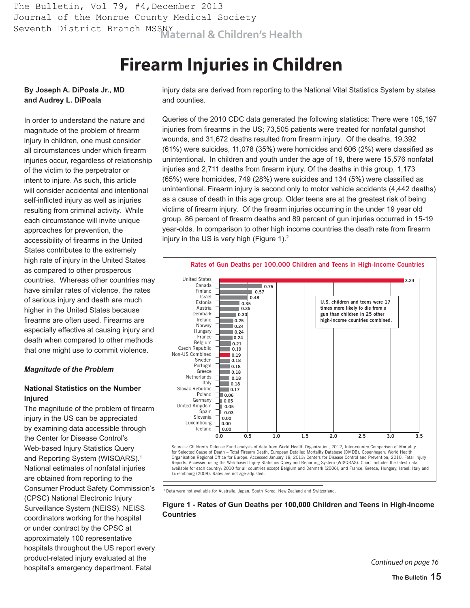Seventh District Branch MSSNY<br>**Maternal & Children's Health** The Bulletin, Vol 79, #4, December 2013 Journal of the Monroe County Medical Society

# **Firearm Injuries in Children**

### **By Joseph A. DiPoala Jr., MD and Audrey L. DiPoala**

In order to understand the nature and magnitude of the problem of firearm injury in children, one must consider all circumstances under which firearm injuries occur, regardless of relationship of the victim to the perpetrator or intent to injure. As such, this article will consider accidental and intentional self-inflicted injury as well as injuries resulting from criminal activity. While each circumstance will invite unique approaches for prevention, the accessibility of firearms in the United States contributes to the extremely high rate of injury in the United States as compared to other prosperous countries. Whereas other countries may have similar rates of violence, the rates of serious injury and death are much higher in the United States because firearms are often used. Firearms are especially effective at causing injury and death when compared to other methods that one might use to commit violence.

#### *Magnitude of the Problem*

## **National Statistics on the Number Injured**

The magnitude of the problem of firearm injury in the US can be appreciated by examining data accessible through the Center for Disease Control's Web-based Injury Statistics Query and Reporting System (WISQARS).<sup>1</sup> National estimates of nonfatal injuries are obtained from reporting to the Consumer Product Safety Commission's (CPSC) National Electronic Injury Surveillance System (NEISS). NEISS coordinators working for the hospital or under contract by the CPSC at approximately 100 representative hospitals throughout the US report every product-related injury evaluated at the hospital's emergency department. Fatal

injury data are derived from reporting to the National Vital Statistics System by states and counties.

Queries of the 2010 CDC data generated the following statistics: There were 105,197 injuries from firearms in the US; 73,505 patients were treated for nonfatal gunshot wounds, and 31,672 deaths resulted from firearm injury. Of the deaths, 19,392 (61%) were suicides, 11,078 (35%) were homicides and 606 (2%) were classified as unintentional. In children and youth under the age of 19, there were 15,576 nonfatal injuries and 2,711 deaths from firearm injury. Of the deaths in this group, 1,173 (65%) were homicides, 749 (28%) were suicides and 134 (5%) were classified as unintentional. Firearm injury is second only to motor vehicle accidents (4,442 deaths) as a cause of death in this age group. Older teens are at the greatest risk of being victims of firearm injury. Of the firearm injuries occurring in the under 19 year old group, 86 percent of firearm deaths and 89 percent of gun injuries occurred in 15-19 year-olds. In comparison to other high income countries the death rate from firearm injury in the US is very high (Figure 1). $<sup>2</sup>$ </sup>



\* Data were not available for Australia, Japan, South Korea, New Zealand and Switzerland.

#### **Figure 1 - Rates of Gun Deaths per 100,000 Children and Teens in High-Income Countries**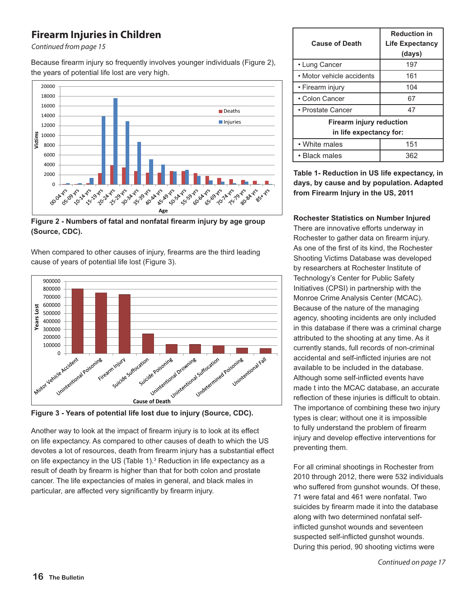# **Firearm Injuries in Children**

Continued from page 15

Because firearm injury so frequently involves younger individuals (Figure 2), the years of potential life lost are very high.



**Age Figure 2 - Numbers of fatal and nonfatal firearm injury by age group (Source, CDC).**

When compared to other causes of injury, firearms are the third leading cause of years of potential life lost (Figure 3).



**Figure 3 - Years of potential life lost due to injury (Source, CDC).**

Another way to look at the impact of firearm injury is to look at its effect on life expectancy. As compared to other causes of death to which the US devotes a lot of resources, death from firearm injury has a substantial effect on life expectancy in the US (Table 1). $3$  Reduction in life expectancy as a result of death by firearm is higher than that for both colon and prostate cancer. The life expectancies of males in general, and black males in particular, are affected very significantly by firearm injury.

| <b>Cause of Death</b>                                      | <b>Reduction in</b><br><b>Life Expectancy</b><br>(days) |
|------------------------------------------------------------|---------------------------------------------------------|
| • Lung Cancer                                              | 197                                                     |
| • Motor vehicle accidents                                  | 161                                                     |
| • Firearm injury                                           | 104                                                     |
| • Colon Cancer                                             | 67                                                      |
| • Prostate Cancer                                          | 47                                                      |
| <b>Firearm injury reduction</b><br>in life expectancy for: |                                                         |
| • White males                                              | 151                                                     |
| • Black males                                              | 362                                                     |

**Table 1- Reduction in US life expectancy, in days, by cause and by population. Adapted from Firearm Injury in the US, 2011**

**Rochester Statistics on Number Injured**

There are innovative efforts underway in Rochester to gather data on firearm injury. As one of the first of its kind, the Rochester Shooting Victims Database was developed by researchers at Rochester Institute of Technology's Center for Public Safety Initiatives (CPSI) in partnership with the Monroe Crime Analysis Center (MCAC). Because of the nature of the managing agency, shooting incidents are only included in this database if there was a criminal charge attributed to the shooting at any time. As it currently stands, full records of non-criminal accidental and self-inflicted injuries are not available to be included in the database. Although some self-inflicted events have made t into the MCAC database, an accurate reflection of these injuries is difficult to obtain. The importance of combining these two injury types is clear; without one it is impossible to fully understand the problem of firearm injury and develop effective interventions for preventing them.

For all criminal shootings in Rochester from 2010 through 2012, there were 532 individuals who suffered from gunshot wounds. Of these, 71 were fatal and 461 were nonfatal. Two suicides by firearm made it into the database along with two determined nonfatal selfinflicted gunshot wounds and seventeen suspected self-inflicted gunshot wounds. During this period, 90 shooting victims were

Continued on page 17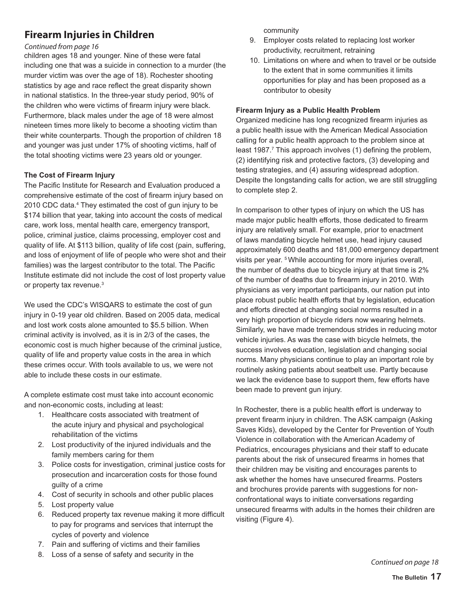# **Firearm Injuries in Children**

#### Continued from page 16

children ages 18 and younger. Nine of these were fatal including one that was a suicide in connection to a murder (the murder victim was over the age of 18). Rochester shooting statistics by age and race reflect the great disparity shown in national statistics. In the three-year study period, 90% of the children who were victims of firearm injury were black. Furthermore, black males under the age of 18 were almost nineteen times more likely to become a shooting victim than their white counterparts. Though the proportion of children 18 and younger was just under 17% of shooting victims, half of the total shooting victims were 23 years old or younger.

## **The Cost of Firearm Injury**

The Pacific Institute for Research and Evaluation produced a comprehensive estimate of the cost of firearm injury based on 2010 CDC data.<sup>4</sup> They estimated the cost of gun injury to be \$174 billion that year, taking into account the costs of medical care, work loss, mental health care, emergency transport, police, criminal justice, claims processing, employer cost and quality of life. At \$113 billion, quality of life cost (pain, suffering, and loss of enjoyment of life of people who were shot and their families) was the largest contributor to the total. The Pacific Institute estimate did not include the cost of lost property value or property tax revenue.<sup>3</sup>

We used the CDC's WISQARS to estimate the cost of gun injury in 0-19 year old children. Based on 2005 data, medical and lost work costs alone amounted to \$5.5 billion. When criminal activity is involved, as it is in 2/3 of the cases, the economic cost is much higher because of the criminal justice, quality of life and property value costs in the area in which these crimes occur. With tools available to us, we were not able to include these costs in our estimate.

A complete estimate cost must take into account economic and non-economic costs, including at least:

- 1. Healthcare costs associated with treatment of the acute injury and physical and psychological rehabilitation of the victims
- 2. Lost productivity of the injured individuals and the family members caring for them
- 3. Police costs for investigation, criminal justice costs for prosecution and incarceration costs for those found guilty of a crime
- 4. Cost of security in schools and other public places
- 5. Lost property value
- 6. Reduced property tax revenue making it more difficult to pay for programs and services that interrupt the cycles of poverty and violence
- 7. Pain and suffering of victims and their families
- 8. Loss of a sense of safety and security in the

community

- 9. Employer costs related to replacing lost worker productivity, recruitment, retraining
- 10. Limitations on where and when to travel or be outside to the extent that in some communities it limits opportunities for play and has been proposed as a contributor to obesity

#### **Firearm Injury as a Public Health Problem**

Organized medicine has long recognized firearm injuries as a public health issue with the American Medical Association calling for a public health approach to the problem since at least 1987.<sup>7</sup> This approach involves (1) defining the problem, (2) identifying risk and protective factors, (3) developing and testing strategies, and (4) assuring widespread adoption. Despite the longstanding calls for action, we are still struggling to complete step 2.

In comparison to other types of injury on which the US has made major public health efforts, those dedicated to firearm injury are relatively small. For example, prior to enactment of laws mandating bicycle helmet use, head injury caused approximately 600 deaths and 181,000 emergency department visits per year. 5 While accounting for more injuries overall, the number of deaths due to bicycle injury at that time is 2% of the number of deaths due to firearm injury in 2010. With physicians as very important participants, our nation put into place robust public health efforts that by legislation, education and efforts directed at changing social norms resulted in a very high proportion of bicycle riders now wearing helmets. Similarly, we have made tremendous strides in reducing motor vehicle injuries. As was the case with bicycle helmets, the success involves education, legislation and changing social norms. Many physicians continue to play an important role by routinely asking patients about seatbelt use. Partly because we lack the evidence base to support them, few efforts have been made to prevent gun injury.

In Rochester, there is a public health effort is underway to prevent firearm injury in children. The ASK campaign (Asking Saves Kids), developed by the Center for Prevention of Youth Violence in collaboration with the American Academy of Pediatrics, encourages physicians and their staff to educate parents about the risk of unsecured firearms in homes that their children may be visiting and encourages parents to ask whether the homes have unsecured firearms. Posters and brochures provide parents with suggestions for nonconfrontational ways to initiate conversations regarding unsecured firearms with adults in the homes their children are visiting (Figure 4).